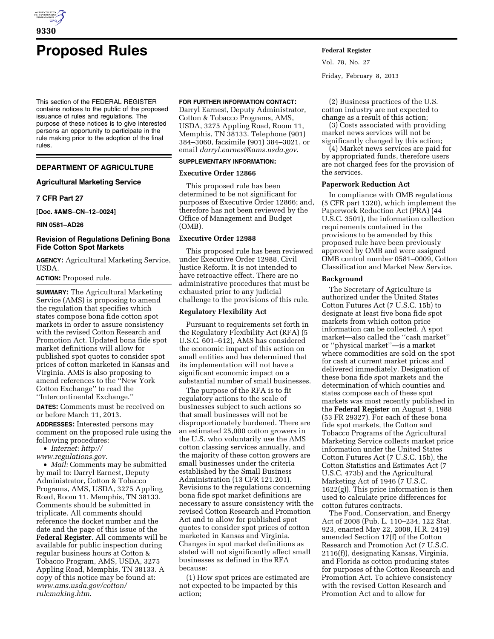

# **Proposed Rules Federal Register**

This section of the FEDERAL REGISTER contains notices to the public of the proposed issuance of rules and regulations. The purpose of these notices is to give interested persons an opportunity to participate in the rule making prior to the adoption of the final rules.

## **DEPARTMENT OF AGRICULTURE**

## **Agricultural Marketing Service**

## **7 CFR Part 27**

**[Doc. #AMS–CN–12–0024]** 

**RIN 0581–AD26** 

#### **Revision of Regulations Defining Bona Fide Cotton Spot Markets**

**AGENCY:** Agricultural Marketing Service, USDA.

## **ACTION:** Proposed rule.

**SUMMARY:** The Agricultural Marketing Service (AMS) is proposing to amend the regulation that specifies which states compose bona fide cotton spot markets in order to assure consistency with the revised Cotton Research and Promotion Act. Updated bona fide spot market definitions will allow for published spot quotes to consider spot prices of cotton marketed in Kansas and Virginia. AMS is also proposing to amend references to the ''New York Cotton Exchange'' to read the ''Intercontinental Exchange.''

**DATES:** Comments must be received on or before March 11, 2013.

**ADDRESSES:** Interested persons may comment on the proposed rule using the following procedures:

• *Internet: [http://](http://www.regulations.gov)* 

*[www.regulations.gov.](http://www.regulations.gov)* 

• *Mail:* Comments may be submitted by mail to: Darryl Earnest, Deputy Administrator, Cotton & Tobacco Programs, AMS, USDA, 3275 Appling Road, Room 11, Memphis, TN 38133. Comments should be submitted in triplicate. All comments should reference the docket number and the date and the page of this issue of the **Federal Register**. All comments will be available for public inspection during regular business hours at Cotton & Tobacco Program, AMS, USDA, 3275 Appling Road, Memphis, TN 38133. A copy of this notice may be found at: *[www.ams.usda.gov/cotton/](http://www.ams.usda.gov/cotton/rulemaking.htm) [rulemaking.htm](http://www.ams.usda.gov/cotton/rulemaking.htm)*.

## **FOR FURTHER INFORMATION CONTACT:**

Darryl Earnest, Deputy Administrator, Cotton & Tobacco Programs, AMS, USDA, 3275 Appling Road, Room 11, Memphis, TN 38133. Telephone (901) 384–3060, facsimile (901) 384–3021, or email *[darryl.earnest@ams.usda.gov](mailto:darryl.earnest@ams.usda.gov)*.

#### **SUPPLEMENTARY INFORMATION:**

### **Executive Order 12866**

This proposed rule has been determined to be not significant for purposes of Executive Order 12866; and, therefore has not been reviewed by the Office of Management and Budget (OMB).

## **Executive Order 12988**

This proposed rule has been reviewed under Executive Order 12988, Civil Justice Reform. It is not intended to have retroactive effect. There are no administrative procedures that must be exhausted prior to any judicial challenge to the provisions of this rule.

## **Regulatory Flexibility Act**

Pursuant to requirements set forth in the Regulatory Flexibility Act (RFA) (5 U.S.C. 601–612), AMS has considered the economic impact of this action on small entities and has determined that its implementation will not have a significant economic impact on a substantial number of small businesses.

The purpose of the RFA is to fit regulatory actions to the scale of businesses subject to such actions so that small businesses will not be disproportionately burdened. There are an estimated 25,000 cotton growers in the U.S. who voluntarily use the AMS cotton classing services annually, and the majority of these cotton growers are small businesses under the criteria established by the Small Business Administration (13 CFR 121.201). Revisions to the regulations concerning bona fide spot market definitions are necessary to assure consistency with the revised Cotton Research and Promotion Act and to allow for published spot quotes to consider spot prices of cotton marketed in Kansas and Virginia. Changes in spot market definitions as stated will not significantly affect small businesses as defined in the RFA because:

(1) How spot prices are estimated are not expected to be impacted by this action;

Vol. 78, No. 27 Friday, February 8, 2013

(2) Business practices of the U.S. cotton industry are not expected to change as a result of this action;

(3) Costs associated with providing market news services will not be significantly changed by this action;

(4) Market news services are paid for by appropriated funds, therefore users are not charged fees for the provision of the services.

## **Paperwork Reduction Act**

In compliance with OMB regulations (5 CFR part 1320), which implement the Paperwork Reduction Act (PRA) (44 U.S.C. 3501), the information collection requirements contained in the provisions to be amended by this proposed rule have been previously approved by OMB and were assigned OMB control number 0581–0009, Cotton Classification and Market New Service.

### **Background**

The Secretary of Agriculture is authorized under the United States Cotton Futures Act (7 U.S.C. 15b) to designate at least five bona fide spot markets from which cotton price information can be collected. A spot market—also called the ''cash market'' or ''physical market''—is a market where commodities are sold on the spot for cash at current market prices and delivered immediately. Designation of these bona fide spot markets and the determination of which counties and states compose each of these spot markets was most recently published in the **Federal Register** on August 4, 1988 (53 FR 29327). For each of these bona fide spot markets, the Cotton and Tobacco Programs of the Agricultural Marketing Service collects market price information under the United States Cotton Futures Act (7 U.S.C. 15b), the Cotton Statistics and Estimates Act (7 U.S.C. 473b) and the Agricultural Marketing Act of 1946 (7 U.S.C.  $1622(g)$ ). This price information is then used to calculate price differences for cotton futures contracts.

The Food, Conservation, and Energy Act of 2008 (Pub. L. 110–234, 122 Stat. 923, enacted May 22, 2008, H.R. 2419) amended Section 17(f) of the Cotton Research and Promotion Act (7 U.S.C. 2116(f)), designating Kansas, Virginia, and Florida as cotton producing states for purposes of the Cotton Research and Promotion Act. To achieve consistency with the revised Cotton Research and Promotion Act and to allow for